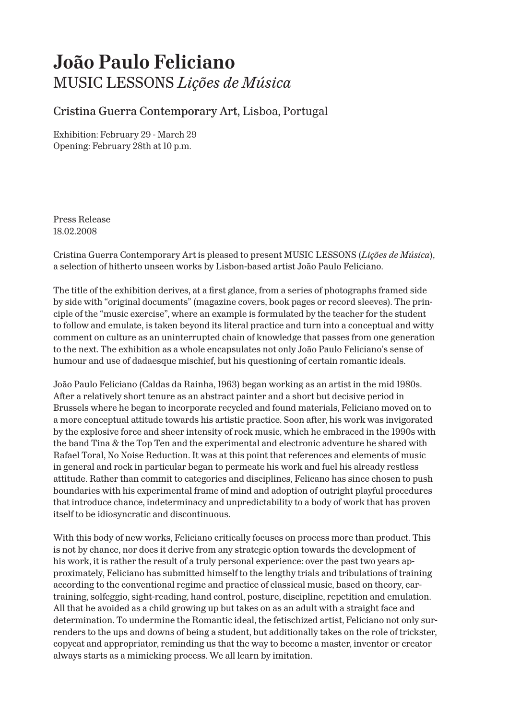## **João Paulo Feliciano** MUSIC LESSONS *Lições de Música*

## Cristina Guerra Contemporary Art, Lisboa, Portugal

Exhibition: February 29 - March 29 Opening: February 28th at 10 p.m.

Press Release 18.02.2008

Cristina Guerra Contemporary Art is pleased to present MUSIC LESSONS (*Lições de Música*), a selection of hitherto unseen works by Lisbon-based artist João Paulo Feliciano.

The title of the exhibition derives, at a first glance, from a series of photographs framed side by side with "original documents" (magazine covers, book pages or record sleeves). The principle of the "music exercise", where an example is formulated by the teacher for the student to follow and emulate, is taken beyond its literal practice and turn into a conceptual and witty comment on culture as an uninterrupted chain of knowledge that passes from one generation to the next. The exhibition as a whole encapsulates not only João Paulo Feliciano's sense of humour and use of dadaesque mischief, but his questioning of certain romantic ideals.

João Paulo Feliciano (Caldas da Rainha, 1963) began working as an artist in the mid 1980s. After a relatively short tenure as an abstract painter and a short but decisive period in Brussels where he began to incorporate recycled and found materials, Feliciano moved on to a more conceptual attitude towards his artistic practice. Soon after, his work was invigorated by the explosive force and sheer intensity of rock music, which he embraced in the 1990s with the band Tina & the Top Ten and the experimental and electronic adventure he shared with Rafael Toral, No Noise Reduction. It was at this point that references and elements of music in general and rock in particular began to permeate his work and fuel his already restless attitude. Rather than commit to categories and disciplines, Felicano has since chosen to push boundaries with his experimental frame of mind and adoption of outright playful procedures that introduce chance, indeterminacy and unpredictability to a body of work that has proven itself to be idiosyncratic and discontinuous.

With this body of new works, Feliciano critically focuses on process more than product. This is not by chance, nor does it derive from any strategic option towards the development of his work, it is rather the result of a truly personal experience: over the past two years approximately, Feliciano has submitted himself to the lengthy trials and tribulations of training according to the conventional regime and practice of classical music, based on theory, eartraining, solfeggio, sight-reading, hand control, posture, discipline, repetition and emulation. All that he avoided as a child growing up but takes on as an adult with a straight face and determination. To undermine the Romantic ideal, the fetischized artist, Feliciano not only surrenders to the ups and downs of being a student, but additionally takes on the role of trickster, copycat and appropriator, reminding us that the way to become a master, inventor or creator always starts as a mimicking process. We all learn by imitation.